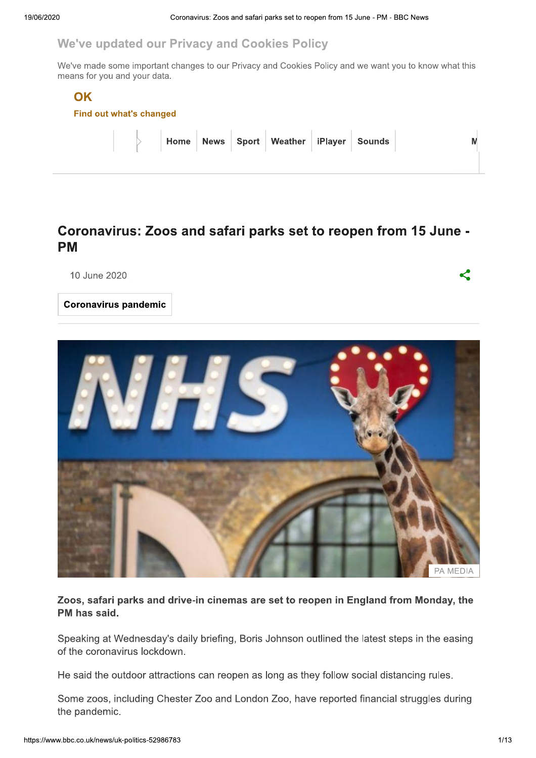#### We've updated our Privacy and Cookies Policy

We've made some important changes to our Privacy and Cookies Policy and we want you to know what this means for you and your data.

#### OK



|  |  | $\begin{array}{ c c c c c }\hline \ \quad\quad \text{Home} & \text{News} & \text{Spot} & \text{Weather} & \text{ifPlayer} & \text{Sounds}\ \hline \end{array}$ |  |  |
|--|--|----------------------------------------------------------------------------------------------------------------------------------------------------------------|--|--|
|  |  |                                                                                                                                                                |  |  |

### Coronavirus: Zoos and safari parks set to reopen from 15 June -**PM**

10 June 2020

**Coronavirus pandemic** 



Zoos, safari parks and drive-in cinemas are set to reopen in England from Monday, the PM has said.

Speaking at Wednesday's daily briefing, Boris Johnson outlined the latest steps in the easing of the coronavirus lockdown.

He said the outdoor attractions can reopen as long as they follow social distancing rules.

Some zoos, including Chester Zoo and London Zoo, have reported financial struggles during the pandemic.

K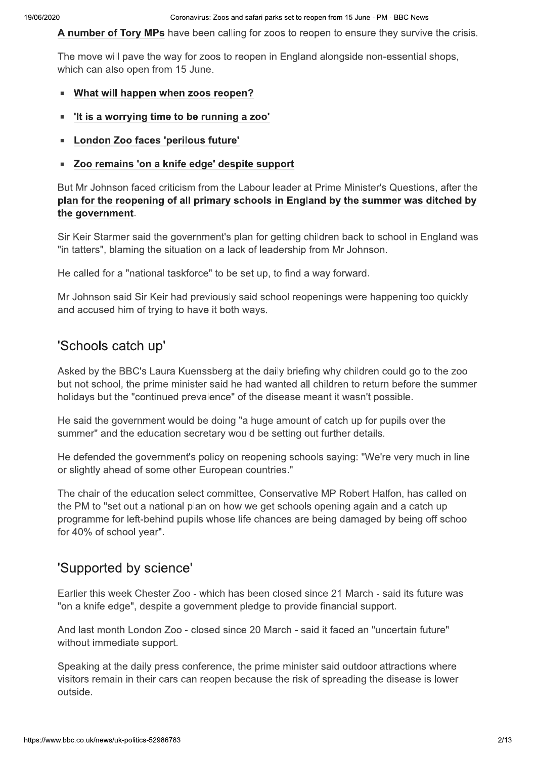A number of Tory MPs have been calling for zoos to reopen to ensure they survive the crisis.

The move will pave the way for zoos to reopen in England alongside non-essential shops, which can also open from 15 June.

- What will happen when zoos reopen?  $\blacksquare$
- "It is a worrying time to be running a zoo"  $\blacksquare$
- **E** London Zoo faces 'perilous future'
- Zoo remains 'on a knife edge' despite support

But Mr Johnson faced criticism from the Labour leader at Prime Minister's Questions, after the plan for the reopening of all primary schools in England by the summer was ditched by the government.

Sir Keir Starmer said the government's plan for getting children back to school in England was "in tatters", blaming the situation on a lack of leadership from Mr Johnson.

He called for a "national taskforce" to be set up, to find a way forward.

Mr Johnson said Sir Keir had previously said school reopenings were happening too quickly and accused him of trying to have it both ways.

# 'Schools catch up'

Asked by the BBC's Laura Kuenssberg at the daily briefing why children could go to the zoo but not school, the prime minister said he had wanted all children to return before the summer holidays but the "continued prevalence" of the disease meant it wasn't possible.

He said the government would be doing "a huge amount of catch up for pupils over the summer" and the education secretary would be setting out further details.

He defended the government's policy on reopening schools saying: "We're very much in line or slightly ahead of some other European countries."

The chair of the education select committee, Conservative MP Robert Halfon, has called on the PM to "set out a national plan on how we get schools opening again and a catch up programme for left-behind pupils whose life chances are being damaged by being off school for 40% of school year".

# 'Supported by science'

Earlier this week Chester Zoo - which has been closed since 21 March - said its future was "on a knife edge", despite a government pledge to provide financial support.

And last month London Zoo - closed since 20 March - said it faced an "uncertain future" without immediate support.

Speaking at the daily press conference, the prime minister said outdoor attractions where visitors remain in their cars can reopen because the risk of spreading the disease is lower outside.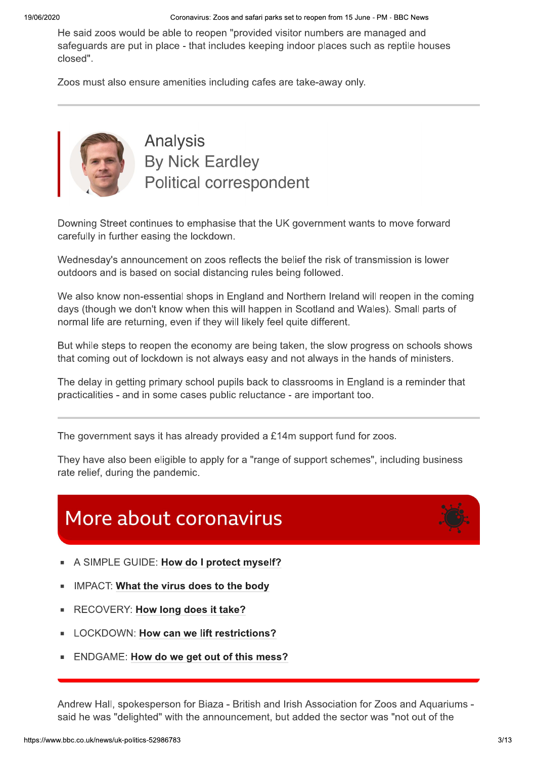Coronavirus: Zoos and safari parks set to reopen from 15 June - PM - BBC News

He said zoos would be able to reopen "provided visitor numbers are managed and safeguards are put in place - that includes keeping indoor places such as reptile houses closed".

Zoos must also ensure amenities including cafes are take-away only.



**Analysis By Nick Eardley** Political correspondent

Downing Street continues to emphasise that the UK government wants to move forward carefully in further easing the lockdown.

Wednesday's announcement on zoos reflects the belief the risk of transmission is lower outdoors and is based on social distancing rules being followed.

We also know non-essential shops in England and Northern Ireland will reopen in the coming days (though we don't know when this will happen in Scotland and Wales). Small parts of normal life are returning, even if they will likely feel quite different.

But while steps to reopen the economy are being taken, the slow progress on schools shows that coming out of lockdown is not always easy and not always in the hands of ministers.

The delay in getting primary school pupils back to classrooms in England is a reminder that practicalities - and in some cases public reluctance - are important too.

The government says it has already provided a  $£14m$  support fund for zoos.

They have also been eligible to apply for a "range of support schemes", including business rate relief, during the pandemic.

# More about coronavirus

- A SIMPLE GUIDE: How do I protect myself?
- IMPACT: What the virus does to the body
- RECOVERY: How long does it take?
- LOCKDOWN: How can we lift restrictions?
- ENDGAME: How do we get out of this mess?

Andrew Hall, spokesperson for Biaza - British and Irish Association for Zoos and Aquariums said he was "delighted" with the announcement, but added the sector was "not out of the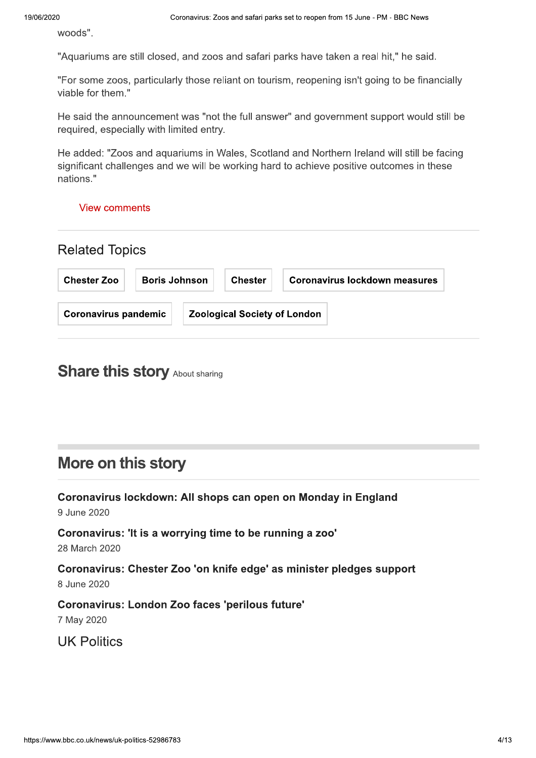woods".

"Aquariums are still closed, and zoos and safari parks have taken a real hit," he said.

"For some zoos, particularly those reliant on tourism, reopening isn't going to be financially viable for them."

He said the announcement was "not the full answer" and government support would still be required, especially with limited entry.

He added: "Zoos and aguariums in Wales, Scotland and Northern Ireland will still be facing significant challenges and we will be working hard to achieve positive outcomes in these nations."

#### **View comments**

| <b>Related Topics</b>       |                      |  |                                     |                               |  |
|-----------------------------|----------------------|--|-------------------------------------|-------------------------------|--|
| <b>Chester Zoo</b>          | <b>Boris Johnson</b> |  | <b>Chester</b>                      | Coronavirus lockdown measures |  |
| <b>Coronavirus pandemic</b> |                      |  | <b>Zoological Society of London</b> |                               |  |

# **Share this story About sharing**

# More on this story

Coronavirus lockdown: All shops can open on Monday in England 9 June 2020

Coronavirus: 'It is a worrying time to be running a zoo' 28 March 2020

Coronavirus: Chester Zoo 'on knife edge' as minister pledges support 8 June 2020

Coronavirus: London Zoo faces 'perilous future'

7 May 2020

**UK Politics**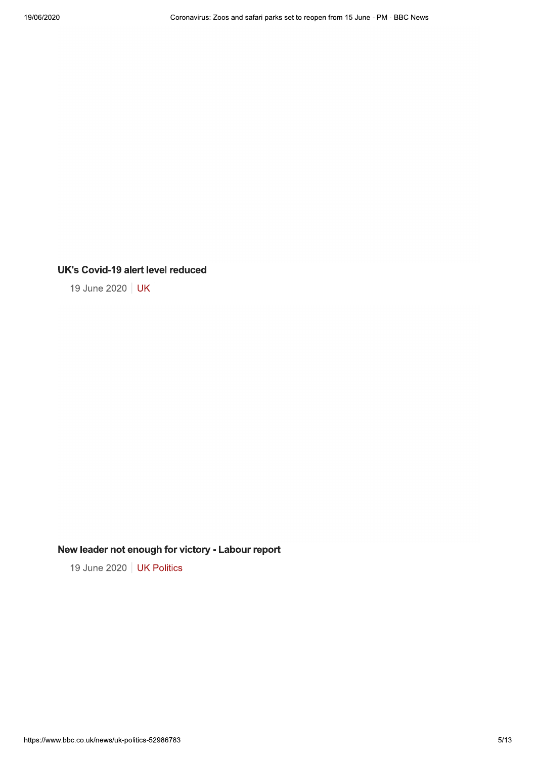#### **UK's Covid-19 alert level reduced**

19 June 2020 | UK

#### New leader not enough for victory - Labour report

19 June 2020 | UK Politics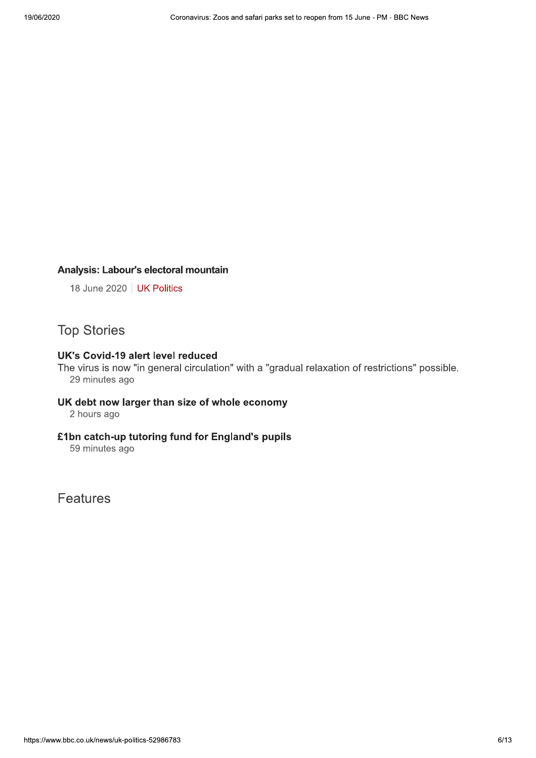#### Analysis: Labour's electoral mountain

18 June 2020 | UK Politics

### **Top Stories**

#### **UK's Covid-19 alert level reduced**

The virus is now "in general circulation" with a "gradual relaxation of restrictions" possible. 29 minutes ago

# UK debt now larger than size of whole economy

2 hours ago

#### £1bn catch-up tutoring fund for England's pupils

59 minutes ago

**Features**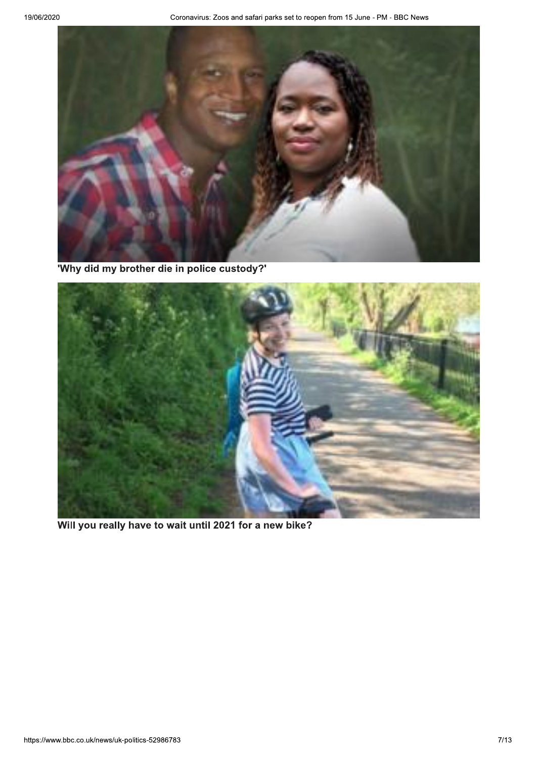

'Why did my brother die in police custody?'



Will you really have to wait until 2021 for a new bike?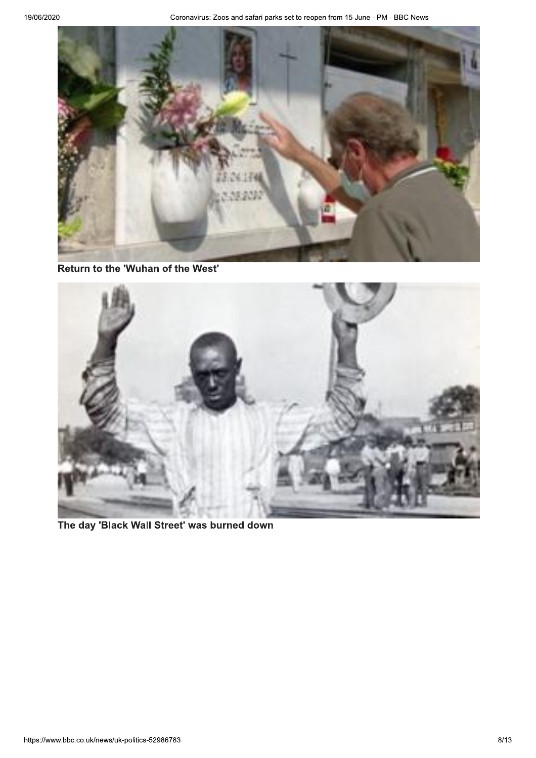

Return to the 'Wuhan of the West'



The day 'Black Wall Street' was burned down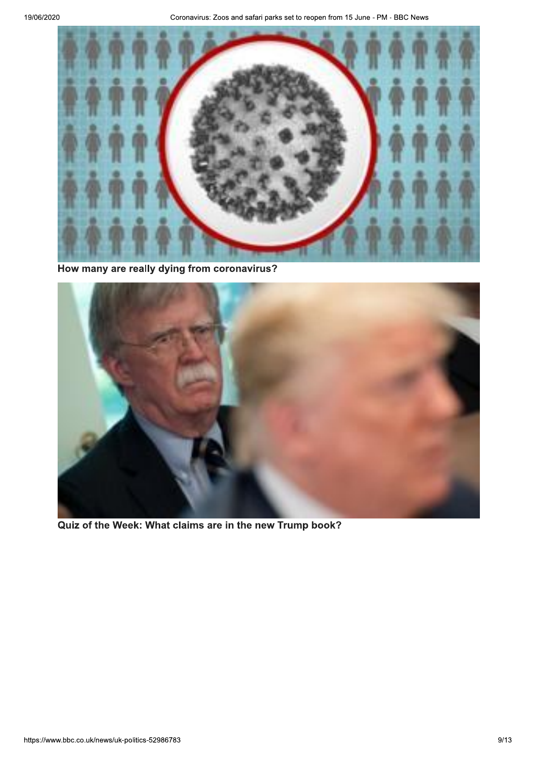

How many are really dying from coronavirus?



Quiz of the Week: What claims are in the new Trump book?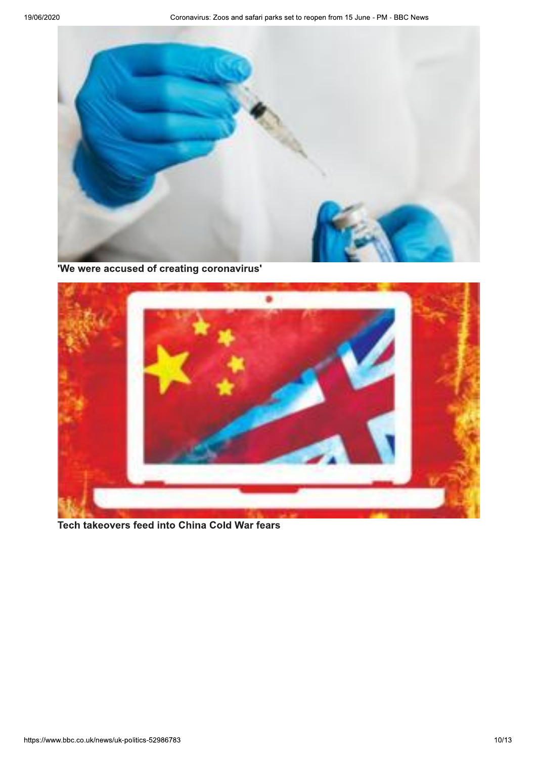

'We were accused of creating coronavirus'



Tech takeovers feed into China Cold War fears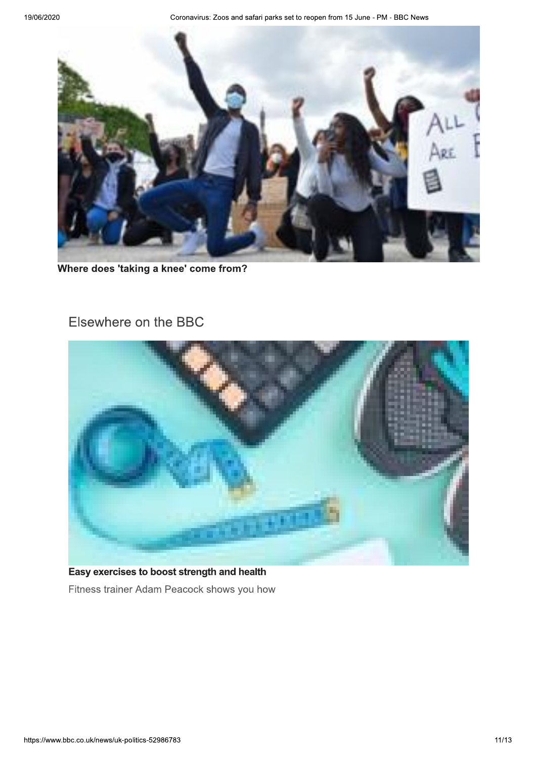Coronavirus: Zoos and safari parks set to reopen from 15 June - PM - BBC News



Where does 'taking a knee' come from?

# Elsewhere on the BBC



Easy exercises to boost strength and health Fitness trainer Adam Peacock shows you how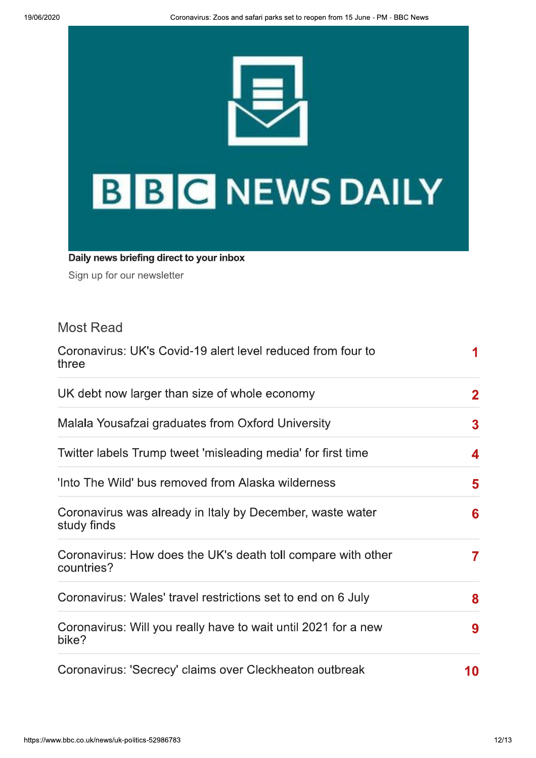

Daily news briefing direct to your inbox

Sign up for our newsletter

# **Most Read**

| Coronavirus: UK's Covid-19 alert level reduced from four to<br>three       | 1            |
|----------------------------------------------------------------------------|--------------|
| UK debt now larger than size of whole economy                              | $\mathbf{2}$ |
| Malala Yousafzai graduates from Oxford University                          | $\mathbf{3}$ |
| Twitter labels Trump tweet 'misleading media' for first time               | 4            |
| 'Into The Wild' bus removed from Alaska wilderness                         | 5            |
| Coronavirus was already in Italy by December, waste water<br>study finds   | 6            |
| Coronavirus: How does the UK's death toll compare with other<br>countries? | $\mathbf{7}$ |
| Coronavirus: Wales' travel restrictions set to end on 6 July               | 8            |
| Coronavirus: Will you really have to wait until 2021 for a new<br>bike?    | 9            |
| Coronavirus: 'Secrecy' claims over Cleckheaton outbreak                    | 10           |